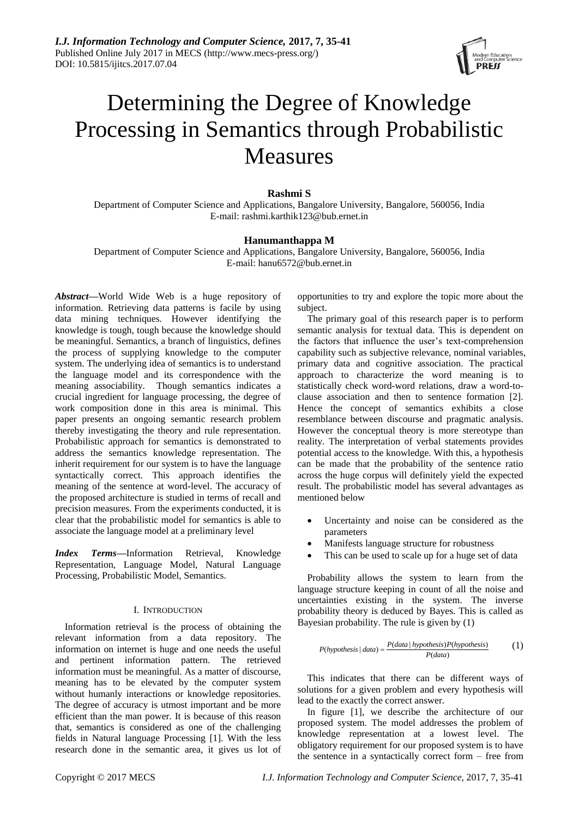

# Determining the Degree of Knowledge Processing in Semantics through Probabilistic Measures

# **Rashmi S**

Department of Computer Science and Applications, Bangalore University, Bangalore, 560056, India E-mail: rashmi.karthik123@bub.ernet.in

## **Hanumanthappa M**

Department of Computer Science and Applications, Bangalore University, Bangalore, 560056, India E-mail: hanu6572@bub.ernet.in

*Abstract***—**World Wide Web is a huge repository of information. Retrieving data patterns is facile by using data mining techniques. However identifying the knowledge is tough, tough because the knowledge should be meaningful. Semantics, a branch of linguistics, defines the process of supplying knowledge to the computer system. The underlying idea of semantics is to understand the language model and its correspondence with the meaning associability. Though semantics indicates a crucial ingredient for language processing, the degree of work composition done in this area is minimal. This paper presents an ongoing semantic research problem thereby investigating the theory and rule representation. Probabilistic approach for semantics is demonstrated to address the semantics knowledge representation. The inherit requirement for our system is to have the language syntactically correct. This approach identifies the meaning of the sentence at word-level. The accuracy of the proposed architecture is studied in terms of recall and precision measures. From the experiments conducted, it is clear that the probabilistic model for semantics is able to associate the language model at a preliminary level

*Index Terms***—**Information Retrieval, Knowledge Representation, Language Model, Natural Language Processing, Probabilistic Model, Semantics.

## I. INTRODUCTION

Information retrieval is the process of obtaining the relevant information from a data repository. The information on internet is huge and one needs the useful and pertinent information pattern. The retrieved information must be meaningful. As a matter of discourse, meaning has to be elevated by the computer system without humanly interactions or knowledge repositories. The degree of accuracy is utmost important and be more efficient than the man power. It is because of this reason that, semantics is considered as one of the challenging fields in Natural language Processing [1]. With the less research done in the semantic area, it gives us lot of opportunities to try and explore the topic more about the subject.

The primary goal of this research paper is to perform semantic analysis for textual data. This is dependent on the factors that influence the user's text-comprehension capability such as subjective relevance, nominal variables, primary data and cognitive association. The practical approach to characterize the word meaning is to statistically check word-word relations, draw a word-toclause association and then to sentence formation [2]. Hence the concept of semantics exhibits a close resemblance between discourse and pragmatic analysis. However the conceptual theory is more stereotype than reality. The interpretation of verbal statements provides potential access to the knowledge. With this, a hypothesis can be made that the probability of the sentence ratio across the huge corpus will definitely yield the expected result. The probabilistic model has several advantages as mentioned below

- Uncertainty and noise can be considered as the parameters
- Manifests language structure for robustness
- This can be used to scale up for a huge set of data

Probability allows the system to learn from the language structure keeping in count of all the noise and uncertainties existing in the system. The inverse probability theory is deduced by Bayes. This is called as Bayesian probability. The rule is given by (1)

$$
P(hypothesis | data) = \frac{P(data | hypothesis)P(hypothesis)}{P(data)}
$$
 (1)

This indicates that there can be different ways of solutions for a given problem and every hypothesis will lead to the exactly the correct answer.

In figure [1], we describe the architecture of our proposed system. The model addresses the problem of knowledge representation at a lowest level. The obligatory requirement for our proposed system is to have the sentence in a syntactically correct form – free from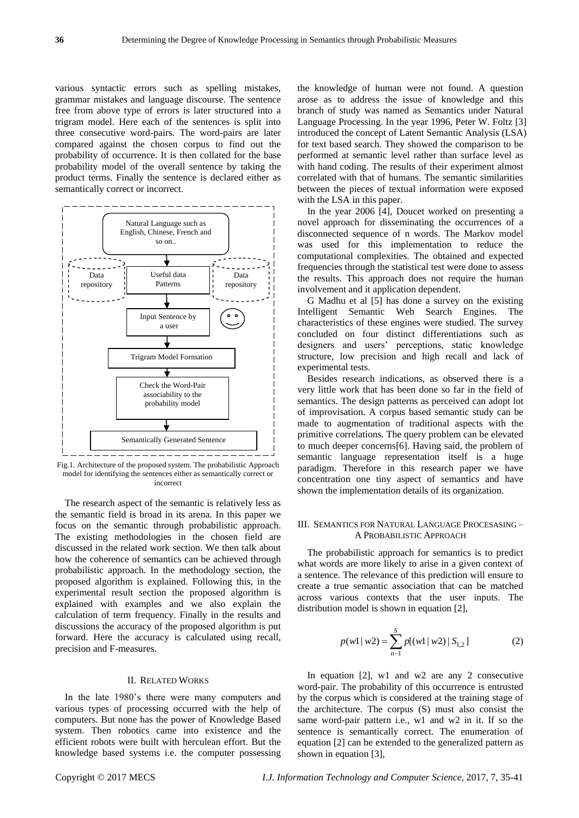various syntactic errors such as spelling mistakes, grammar mistakes and language discourse. The sentence free from above type of errors is later structured into a trigram model. Here each of the sentences is split into three consecutive word-pairs. The word-pairs are later compared against the chosen corpus to find out the probability of occurrence. It is then collated for the base probability model of the overall sentence by taking the product terms. Finally the sentence is declared either as semantically correct or incorrect.



Fig.1. Architecture of the proposed system. The probabilistic Approach model for identifying the sentences either as semantically correct or incorrect

The research aspect of the semantic is relatively less as the semantic field is broad in its arena. In this paper we focus on the semantic through probabilistic approach. The existing methodologies in the chosen field are discussed in the related work section. We then talk about how the coherence of semantics can be achieved through probabilistic approach. In the methodology section, the proposed algorithm is explained. Following this, in the experimental result section the proposed algorithm is explained with examples and we also explain the calculation of term frequency. Finally in the results and discussions the accuracy of the proposed algorithm is put forward. Here the accuracy is calculated using recall, precision and F-measures.

## II. RELATED WORKS

In the late 1980's there were many computers and various types of processing occurred with the help of computers. But none has the power of Knowledge Based system. Then robotics came into existence and the efficient robots were built with herculean effort. But the knowledge based systems i.e. the computer possessing

the knowledge of human were not found. A question arose as to address the issue of knowledge and this branch of study was named as Semantics under Natural Language Processing. In the year 1996, Peter W. Foltz [3] introduced the concept of Latent Semantic Analysis (LSA) for text based search. They showed the comparison to be performed at semantic level rather than surface level as with hand coding. The results of their experiment almost correlated with that of humans. The semantic similarities between the pieces of textual information were exposed with the LSA in this paper.

In the year 2006 [4], Doucet worked on presenting a novel approach for disseminating the occurrences of a disconnected sequence of n words. The Markov model was used for this implementation to reduce the computational complexities. The obtained and expected frequencies through the statistical test were done to assess the results. This approach does not require the human involvement and it application dependent.

G Madhu et al [5] has done a survey on the existing Intelligent Semantic Web Search Engines. The characteristics of these engines were studied. The survey concluded on four distinct differentiations such as designers and users' perceptions, static knowledge structure, low precision and high recall and lack of experimental tests.

Besides research indications, as observed there is a very little work that has been done so far in the field of semantics. The design patterns as perceived can adopt lot of improvisation. A corpus based semantic study can be made to augmentation of traditional aspects with the primitive correlations. The query problem can be elevated to much deeper concerns[6]. Having said, the problem of semantic language representation itself is a huge paradigm. Therefore in this research paper we have concentration one tiny aspect of semantics and have shown the implementation details of its organization.

## III. SEMANTICS FOR NATURAL LANGUAGE PROCESASING – A PROBABILISTIC APPROACH

The probabilistic approach for semantics is to predict what words are more likely to arise in a given context of a sentence. The relevance of this prediction will ensure to create a true semantic association that can be matched across various contexts that the user inputs. The distribution model is shown in equation [2],

$$
p(w1 \mid w2) = \sum_{n=1}^{S} p[(w1 \mid w2) \mid S_{1,2}] \tag{2}
$$

In equation [2], w1 and w2 are any 2 consecutive word-pair. The probability of this occurrence is entrusted by the corpus which is considered at the training stage of the architecture. The corpus (S) must also consist the same word-pair pattern i.e., w1 and w2 in it. If so the sentence is semantically correct. The enumeration of equation [2] can be extended to the generalized pattern as shown in equation [3],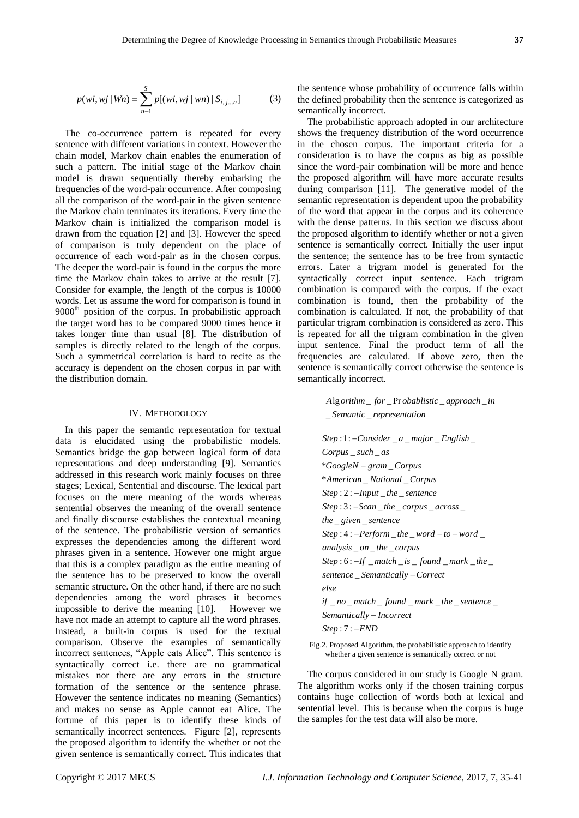$$
p(wi, wj | Wn) = \sum_{n=1}^{S} p[(wi, wj | wn) | S_{i,j...n}]
$$
 (3)

The co-occurrence pattern is repeated for every sentence with different variations in context. However the chain model, Markov chain enables the enumeration of such a pattern. The initial stage of the Markov chain model is drawn sequentially thereby embarking the frequencies of the word-pair occurrence. After composing all the comparison of the word-pair in the given sentence the Markov chain terminates its iterations. Every time the Markov chain is initialized the comparison model is drawn from the equation [2] and [3]. However the speed of comparison is truly dependent on the place of occurrence of each word-pair as in the chosen corpus. The deeper the word-pair is found in the corpus the more time the Markov chain takes to arrive at the result [7]. Consider for example, the length of the corpus is 10000 words. Let us assume the word for comparison is found in 9000<sup>th</sup> position of the corpus. In probabilistic approach the target word has to be compared 9000 times hence it takes longer time than usual [8]. The distribution of samples is directly related to the length of the corpus. Such a symmetrical correlation is hard to recite as the accuracy is dependent on the chosen corpus in par with the distribution domain.

## IV. METHODOLOGY

In this paper the semantic representation for textual data is elucidated using the probabilistic models. Semantics bridge the gap between logical form of data representations and deep understanding [9]. Semantics addressed in this research work mainly focuses on three stages; Lexical, Sentential and discourse. The lexical part focuses on the mere meaning of the words whereas sentential observes the meaning of the overall sentence and finally discourse establishes the contextual meaning of the sentence. The probabilistic version of semantics expresses the dependencies among the different word phrases given in a sentence. However one might argue that this is a complex paradigm as the entire meaning of the sentence has to be preserved to know the overall semantic structure. On the other hand, if there are no such dependencies among the word phrases it becomes impossible to derive the meaning [10]. However we have not made an attempt to capture all the word phrases. Instead, a built-in corpus is used for the textual comparison. Observe the examples of semantically incorrect sentences, "Apple eats Alice". This sentence is syntactically correct i.e. there are no grammatical mistakes nor there are any errors in the structure formation of the sentence or the sentence phrase. However the sentence indicates no meaning (Semantics) and makes no sense as Apple cannot eat Alice. The fortune of this paper is to identify these kinds of semantically incorrect sentences. Figure [2], represents the proposed algorithm to identify the whether or not the given sentence is semantically correct. This indicates that the sentence whose probability of occurrence falls within the defined probability then the sentence is categorized as semantically incorrect.

The probabilistic approach adopted in our architecture shows the frequency distribution of the word occurrence in the chosen corpus. The important criteria for a consideration is to have the corpus as big as possible since the word-pair combination will be more and hence the proposed algorithm will have more accurate results during comparison [11]. The generative model of the semantic representation is dependent upon the probability of the word that appear in the corpus and its coherence with the dense patterns. In this section we discuss about the proposed algorithm to identify whether or not a given sentence is semantically correct. Initially the user input the sentence; the sentence has to be free from syntactic errors. Later a trigram model is generated for the syntactically correct input sentence. Each trigram combination is compared with the corpus. If the exact combination is found, then the probability of the combination is calculated. If not, the probability of that particular trigram combination is considered as zero. This is repeated for all the trigram combination in the given input sentence. Final the product term of all the frequencies are calculated. If above zero, then the sentence is semantically correct otherwise the sentence is semantically incorrect.

> *Alg orithm \_ for \_Pr obablistic \_approach \_in* \_ \_ *Semantic representation*

:1: \_ \_ \_ \_ *Step Consider a major English* \_ \_ *Corpus such as* \* \_ *GoogleN gram Corpus* \* \_ \_ *American National Corpus* : 2 : \_ \_ *Step Input the sentence*  $\begin{array}{l} Step: 2:-Input\_the\_sentence\\ Step: 3:-Scan\_the\_corpus\_across\_ \end{array}$ \_ \_ *the given sentence* the \_ given \_ sentence<br>Step : 4 : –Perform \_ the \_ word – to – word \_ \_ \_ \_ *analysis on the corpus* analysis \_on \_the \_corpus<br>Step : 6 : -If \_match \_is \_ found \_mark \_the \_ \_ *sentence Semantically Correct* else<br>if \_no \_match \_ found \_mark \_the \_sentence \_ Semantically –<br>Step : 7 : –<mark>END</mark> *else Semantically Incorrect*

Fig.2. Proposed Algorithm, the probabilistic approach to identify whether a given sentence is semantically correct or not

The corpus considered in our study is Google N gram. The algorithm works only if the chosen training corpus contains huge collection of words both at lexical and sentential level. This is because when the corpus is huge the samples for the test data will also be more.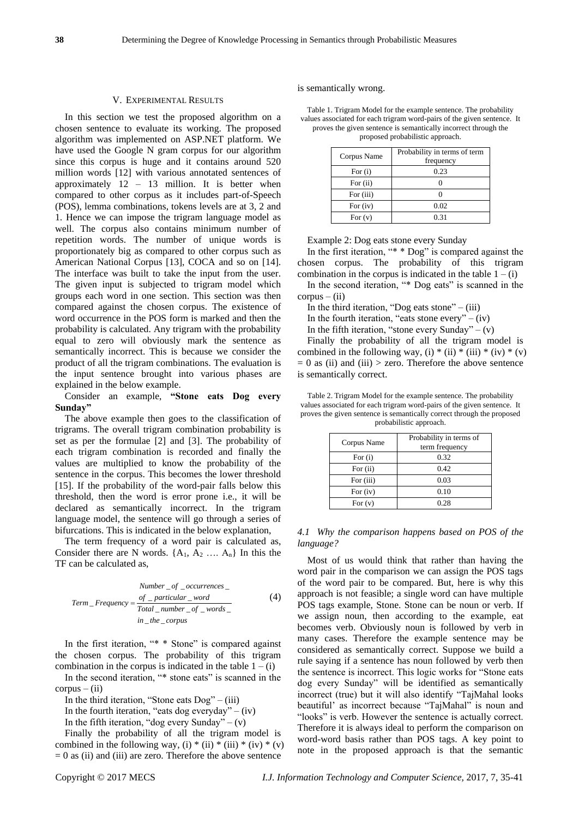#### V. EXPERIMENTAL RESULTS

In this section we test the proposed algorithm on a chosen sentence to evaluate its working. The proposed algorithm was implemented on ASP.NET platform. We have used the Google N gram corpus for our algorithm since this corpus is huge and it contains around 520 million words [12] with various annotated sentences of approximately 12 – 13 million. It is better when compared to other corpus as it includes part-of-Speech (POS), lemma combinations, tokens levels are at 3, 2 and 1. Hence we can impose the trigram language model as well. The corpus also contains minimum number of repetition words. The number of unique words is proportionately big as compared to other corpus such as American National Corpus [13], COCA and so on [14]. The interface was built to take the input from the user. The given input is subjected to trigram model which groups each word in one section. This section was then compared against the chosen corpus. The existence of word occurrence in the POS form is marked and then the probability is calculated. Any trigram with the probability equal to zero will obviously mark the sentence as semantically incorrect. This is because we consider the product of all the trigram combinations. The evaluation is the input sentence brought into various phases are explained in the below example.

Consider an example, **"Stone eats Dog every Sunday"**

The above example then goes to the classification of trigrams. The overall trigram combination probability is set as per the formulae [2] and [3]. The probability of each trigram combination is recorded and finally the values are multiplied to know the probability of the sentence in the corpus. This becomes the lower threshold [15]. If the probability of the word-pair falls below this threshold, then the word is error prone i.e., it will be declared as semantically incorrect. In the trigram language model, the sentence will go through a series of bifurcations. This is indicated in the below explanation,

The term frequency of a word pair is calculated as, Consider there are N words.  $\{A_1, A_2, \ldots, A_n\}$  In this the TF can be calculated as,

Number \_ of \_occurrentes \_  
\nTerm\_Frequency = 
$$
\frac{of_{-}particular_{word}}{Total_{number_{-}of_{word}}}
$$
 (4)  
\nin \_the\_{corpus

In the first iteration, "\* \* Stone" is compared against the chosen corpus. The probability of this trigram combination in the corpus is indicated in the table  $1 - (i)$ 

In the second iteration, "\* stone eats" is scanned in the  $corpus - (ii)$ 

In the third iteration, "Stone eats  $Dog$ " – (iii)

In the fourth iteration, "eats dog everyday" – (iv)

In the fifth iteration, "dog every Sunday" –  $(v)$ 

Finally the probability of all the trigram model is combined in the following way, (i) \* (ii) \* (iii) \* (iv) \* (v)  $= 0$  as (ii) and (iii) are zero. Therefore the above sentence

is semantically wrong.

Table 1. Trigram Model for the example sentence. The probability values associated for each trigram word-pairs of the given sentence. It proves the given sentence is semantically incorrect through the proposed probabilistic approach.

| Corpus Name | Probability in terms of term<br>frequency |  |
|-------------|-------------------------------------------|--|
| For $(i)$   | 0.23                                      |  |
| For (ii)    |                                           |  |
| For (iii)   |                                           |  |
| For $(iv)$  | 0.02                                      |  |
| For $(v)$   | 0.31                                      |  |

Example 2: Dog eats stone every Sunday

In the first iteration, "\* \* Dog" is compared against the chosen corpus. The probability of this trigram combination in the corpus is indicated in the table  $1 - (i)$ 

In the second iteration, "\* Dog eats" is scanned in the  $corpus - (ii)$ 

In the third iteration, "Dog eats stone"  $-$  (iii)

In the fourth iteration, "eats stone every" – (iv)

In the fifth iteration, "stone every Sunday" –  $(v)$ 

Finally the probability of all the trigram model is combined in the following way, (i) \* (ii) \* (iii) \* (iv) \* (v)  $= 0$  as (ii) and (iii)  $>$  zero. Therefore the above sentence is semantically correct.

Table 2. Trigram Model for the example sentence. The probability values associated for each trigram word-pairs of the given sentence. It proves the given sentence is semantically correct through the proposed probabilistic approach.

| Corpus Name | Probability in terms of<br>term frequency |
|-------------|-------------------------------------------|
| For $(i)$   | 0.32                                      |
| For $(ii)$  | 0.42                                      |
| For (iii)   | 0.03                                      |
| For $(iv)$  | 0.10                                      |
| For $(v)$   | 0.28                                      |

*4.1 Why the comparison happens based on POS of the language?*

Most of us would think that rather than having the word pair in the comparison we can assign the POS tags of the word pair to be compared. But, here is why this approach is not feasible; a single word can have multiple POS tags example, Stone. Stone can be noun or verb. If we assign noun, then according to the example, eat becomes verb. Obviously noun is followed by verb in many cases. Therefore the example sentence may be considered as semantically correct. Suppose we build a rule saying if a sentence has noun followed by verb then the sentence is incorrect. This logic works for "Stone eats dog every Sunday" will be identified as semantically incorrect (true) but it will also identify "TajMahal looks beautiful' as incorrect because "TajMahal" is noun and "looks" is verb. However the sentence is actually correct. Therefore it is always ideal to perform the comparison on word-word basis rather than POS tags. A key point to note in the proposed approach is that the semantic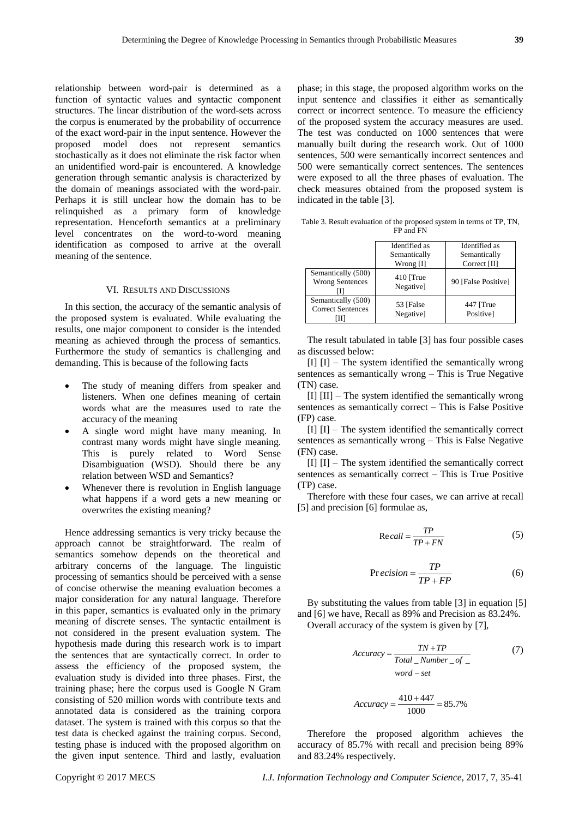relationship between word-pair is determined as a function of syntactic values and syntactic component structures. The linear distribution of the word-sets across the corpus is enumerated by the probability of occurrence of the exact word-pair in the input sentence. However the proposed model does not represent semantics stochastically as it does not eliminate the risk factor when an unidentified word-pair is encountered. A knowledge generation through semantic analysis is characterized by the domain of meanings associated with the word-pair. Perhaps it is still unclear how the domain has to be relinquished as a primary form of knowledge representation. Henceforth semantics at a preliminary level concentrates on the word-to-word meaning identification as composed to arrive at the overall meaning of the sentence.

### VI. RESULTS AND DISCUSSIONS

In this section, the accuracy of the semantic analysis of the proposed system is evaluated. While evaluating the results, one major component to consider is the intended meaning as achieved through the process of semantics. Furthermore the study of semantics is challenging and demanding. This is because of the following facts

- The study of meaning differs from speaker and listeners. When one defines meaning of certain words what are the measures used to rate the accuracy of the meaning
- A single word might have many meaning. In contrast many words might have single meaning. This is purely related to Word Sense Disambiguation (WSD). Should there be any relation between WSD and Semantics?
- Whenever there is revolution in English language what happens if a word gets a new meaning or overwrites the existing meaning?

Hence addressing semantics is very tricky because the approach cannot be straightforward. The realm of semantics somehow depends on the theoretical and arbitrary concerns of the language. The linguistic processing of semantics should be perceived with a sense of concise otherwise the meaning evaluation becomes a major consideration for any natural language. Therefore in this paper, semantics is evaluated only in the primary meaning of discrete senses. The syntactic entailment is not considered in the present evaluation system. The hypothesis made during this research work is to impart the sentences that are syntactically correct. In order to assess the efficiency of the proposed system, the evaluation study is divided into three phases. First, the training phase; here the corpus used is Google N Gram consisting of 520 million words with contribute texts and annotated data is considered as the training corpora dataset. The system is trained with this corpus so that the test data is checked against the training corpus. Second, testing phase is induced with the proposed algorithm on the given input sentence. Third and lastly, evaluation

phase; in this stage, the proposed algorithm works on the input sentence and classifies it either as semantically correct or incorrect sentence. To measure the efficiency of the proposed system the accuracy measures are used. The test was conducted on 1000 sentences that were manually built during the research work. Out of 1000 sentences, 500 were semantically incorrect sentences and 500 were semantically correct sentences. The sentences were exposed to all the three phases of evaluation. The check measures obtained from the proposed system is indicated in the table [3].

Table 3. Result evaluation of the proposed system in terms of TP, TN, FP and FN

|                                                | Identified as<br>Semantically<br>Wrong [I] | Identified as<br>Semantically<br>Correct [II] |
|------------------------------------------------|--------------------------------------------|-----------------------------------------------|
| Semantically (500)<br><b>Wrong Sentences</b>   | $410$ [True<br>Negative]                   | 90 [False Positive]                           |
| Semantically (500)<br><b>Correct Sentences</b> | 53 [False<br>Negative]                     | 447 [True<br>Positivel                        |

The result tabulated in table [3] has four possible cases as discussed below:

 $[I]$   $[I]$  – The system identified the semantically wrong sentences as semantically wrong – This is True Negative (TN) case.

[I] [II] – The system identified the semantically wrong sentences as semantically correct – This is False Positive (FP) case.

[I] [I] – The system identified the semantically correct sentences as semantically wrong – This is False Negative (FN) case.

 $[I]$   $[I]$  – The system identified the semantically correct sentences as semantically correct – This is True Positive (TP) case.

Therefore with these four cases, we can arrive at recall [5] and precision [6] formulae as,

$$
Re\,call = \frac{TP}{TP + FN} \tag{5}
$$

$$
Precision = \frac{TP}{TP + FP}
$$
 (6)

By substituting the values from table [3] in equation [5] and [6] we have, Recall as 89% and Precision as 83.24%. Overall accuracy of the system is given by [7],

$$
Accuracy = \frac{TN + TP}{Total\_Number\_of\_}
$$
 (7)  
word – set

$$
Accuracy = \frac{410 + 447}{1000} = 85.7\%
$$

Therefore the proposed algorithm achieves the accuracy of 85.7% with recall and precision being 89% and 83.24% respectively.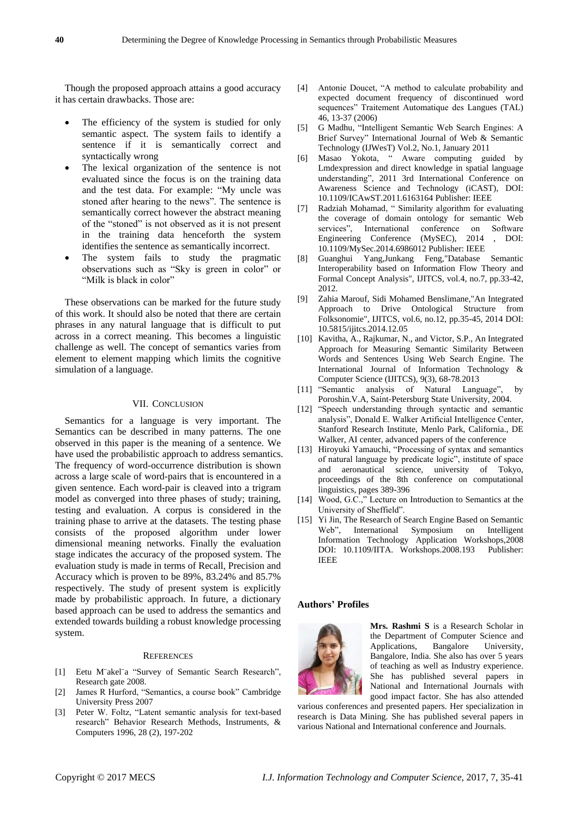Though the proposed approach attains a good accuracy it has certain drawbacks. Those are:

- The efficiency of the system is studied for only semantic aspect. The system fails to identify a sentence if it is semantically correct and syntactically wrong
- The lexical organization of the sentence is not evaluated since the focus is on the training data and the test data. For example: "My uncle was stoned after hearing to the news". The sentence is semantically correct however the abstract meaning of the "stoned" is not observed as it is not present in the training data henceforth the system identifies the sentence as semantically incorrect.
- The system fails to study the pragmatic observations such as "Sky is green in color" or "Milk is black in color"

These observations can be marked for the future study of this work. It should also be noted that there are certain phrases in any natural language that is difficult to put across in a correct meaning. This becomes a linguistic challenge as well. The concept of semantics varies from element to element mapping which limits the cognitive simulation of a language.

### VII. CONCLUSION

Semantics for a language is very important. The Semantics can be described in many patterns. The one observed in this paper is the meaning of a sentence. We have used the probabilistic approach to address semantics. The frequency of word-occurrence distribution is shown across a large scale of word-pairs that is encountered in a given sentence. Each word-pair is cleaved into a trigram model as converged into three phases of study; training, testing and evaluation. A corpus is considered in the training phase to arrive at the datasets. The testing phase consists of the proposed algorithm under lower dimensional meaning networks. Finally the evaluation stage indicates the accuracy of the proposed system. The evaluation study is made in terms of Recall, Precision and Accuracy which is proven to be 89%, 83.24% and 85.7% respectively. The study of present system is explicitly made by probabilistic approach. In future, a dictionary based approach can be used to address the semantics and extended towards building a robust knowledge processing system.

#### **REFERENCES**

- [1] Eetu M¨akel¨a "Survey of Semantic Search Research", Research gate 2008.
- [2] James R Hurford, "Semantics, a course book" Cambridge University Press 2007
- [3] Peter W. Foltz, "Latent semantic analysis for text-based research" Behavior Research Methods, Instruments, & Computers 1996, 28 (2), 197-202
- [4] Antonie Doucet, "A method to calculate probability and expected document frequency of discontinued word sequences" Traitement Automatique des Langues (TAL) 46, 13-37 (2006)
- [5] G Madhu, "Intelligent Semantic Web Search Engines: A Brief Survey" International Journal of Web & Semantic Technology (IJWesT) Vol.2, No.1, January 2011
- [6] [Masao Yokota,](http://ieeexplore.ieee.org/search/searchresult.jsp?searchWithin=%22Authors%22:.QT.Masao%20Yokota.QT.&newsearch=true) " Aware computing guided by Lmdexpression and direct knowledge in spatial language understanding", [2011 3rd International Conference on](http://ieeexplore.ieee.org/xpl/mostRecentIssue.jsp?punumber=6156580)  [Awareness Science and Technology \(iCAST\),](http://ieeexplore.ieee.org/xpl/mostRecentIssue.jsp?punumber=6156580) DOI: [10.1109/ICAwST.2011.6163164](http://dx.doi.org/10.1109/ICAwST.2011.6163164) Publisher: IEEE
- [7] [Radziah Mohamad,](http://ieeexplore.ieee.org/search/searchresult.jsp?searchWithin=%22Authors%22:.QT.Radziah%20Mohamad.QT.&newsearch=true) " Similarity algorithm for evaluating the coverage of domain ontology for semantic Web services", International conference on Software Engineering Conference (MySEC), 2014 , DOI: [10.1109/MySec.2014.6986012](http://dx.doi.org/10.1109/MySec.2014.6986012) Publisher: IEEE
- [8] Guanghui Yang,Junkang Feng,"Database Semantic Interoperability based on Information Flow Theory and Formal Concept Analysis", IJITCS, vol.4, no.7, pp.33-42, 2012.
- [9] Zahia Marouf, Sidi Mohamed Benslimane,"An Integrated Approach to Drive Ontological Structure from Folksonomie", IJITCS, vol.6, no.12, pp.35-45, 2014 DOI: 10.5815/ijitcs.2014.12.05
- [10] Kavitha, A., Rajkumar, N., and Victor, S.P., An Integrated Approach for Measuring Semantic Similarity Between Words and Sentences Using Web Search Engine. The International Journal of Information Technology & Computer Science (IJITCS), 9(3), 68-78.2013
- [11] "Semantic analysis of Natural Language", by Poroshin.V.A, Saint-Petersburg State University, 2004.
- [12] "Speech understanding through syntactic and semantic analysis", Donald E. Walker Artificial Intelligence Center, Stanford Research Institute, Menlo Park, California., DE Walker, AI center, advanced papers of the conference
- [13] Hiroyuki Yamauchi, "Processing of syntax and semantics of natural language by predicate logic", institute of space and aeronautical science, university of Tokyo, proceedings of the 8th conference on computational linguistics, pages 389-396
- [14] Wood, G.C.," Lecture on Introduction to Semantics at the University of Sheffield".
- [15] Yi Jin, The Research of Search Engine Based on Semantic Web", [International Symposium on](http://ieeexplore.ieee.org/xpl/mostRecentIssue.jsp?punumber=4731857) [Intelligent](http://ieeexplore.ieee.org/xpl/mostRecentIssue.jsp?punumber=4731857)  [Information Technology Application Workshops,2008](http://ieeexplore.ieee.org/xpl/mostRecentIssue.jsp?punumber=4731857) DOI: 10.1109/IITA. [Workshops.2008.193](http://dx.doi.org/10.1109/IITA.Workshops.2008.193) Publisher: IEEE

## **Authors' Profiles**



**Mrs. Rashmi S** is a Research Scholar in the Department of Computer Science and Applications, Bangalore University, Bangalore, India. She also has over 5 years of teaching as well as Industry experience. She has published several papers in National and International Journals with good impact factor. She has also attended

various conferences and presented papers. Her specialization in research is Data Mining. She has published several papers in various National and International conference and Journals.